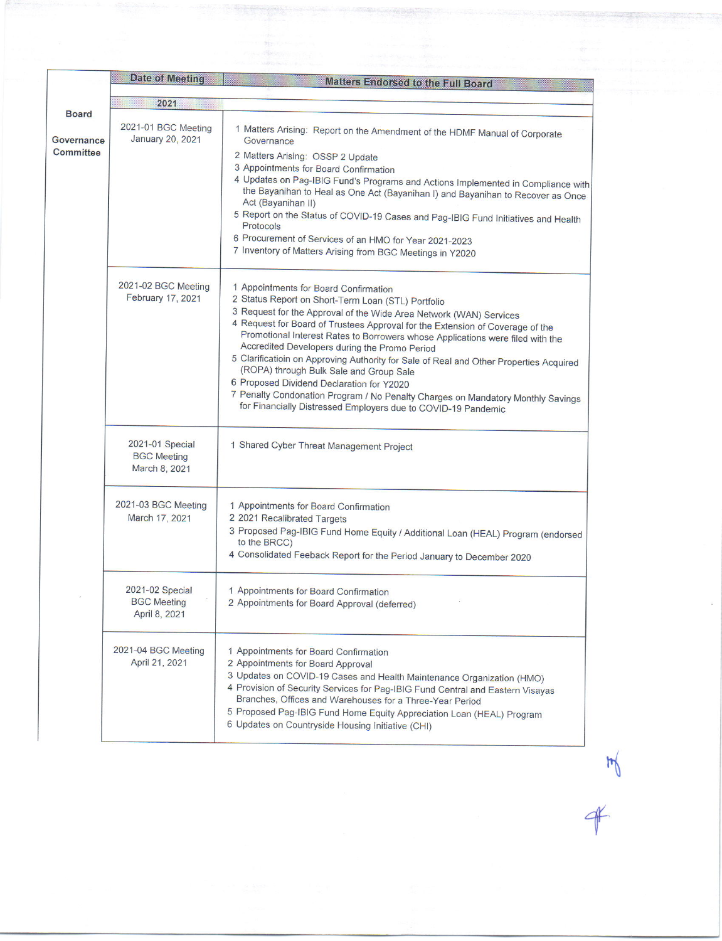|                                                | Date of Meeting                                        | <b>Matters Endorsed to the Full Board</b>                                                                                                                                                                                                                                                                                                                                                                                                                                                                                                                                                                                                                                                                                   |  |
|------------------------------------------------|--------------------------------------------------------|-----------------------------------------------------------------------------------------------------------------------------------------------------------------------------------------------------------------------------------------------------------------------------------------------------------------------------------------------------------------------------------------------------------------------------------------------------------------------------------------------------------------------------------------------------------------------------------------------------------------------------------------------------------------------------------------------------------------------------|--|
|                                                | 2021                                                   |                                                                                                                                                                                                                                                                                                                                                                                                                                                                                                                                                                                                                                                                                                                             |  |
| <b>Board</b><br>Governance<br><b>Committee</b> | 2021-01 BGC Meeting<br>January 20, 2021                | 1 Matters Arising: Report on the Amendment of the HDMF Manual of Corporate<br>Governance                                                                                                                                                                                                                                                                                                                                                                                                                                                                                                                                                                                                                                    |  |
|                                                |                                                        | 2 Matters Arising: OSSP 2 Update<br>3 Appointments for Board Confirmation<br>4 Updates on Pag-IBIG Fund's Programs and Actions Implemented in Compliance with<br>the Bayanihan to Heal as One Act (Bayanihan I) and Bayanihan to Recover as Once<br>Act (Bayanihan II)<br>5 Report on the Status of COVID-19 Cases and Pag-IBIG Fund Initiatives and Health<br>Protocols<br>6 Procurement of Services of an HMO for Year 2021-2023<br>7 Inventory of Matters Arising from BGC Meetings in Y2020                                                                                                                                                                                                                             |  |
|                                                | 2021-02 BGC Meeting<br>February 17, 2021               | 1 Appointments for Board Confirmation<br>2 Status Report on Short-Term Loan (STL) Portfolio<br>3 Request for the Approval of the Wide Area Network (WAN) Services<br>4 Request for Board of Trustees Approval for the Extension of Coverage of the<br>Promotional Interest Rates to Borrowers whose Applications were filed with the<br>Accredited Developers during the Promo Period<br>5 Clarificatioin on Approving Authority for Sale of Real and Other Properties Acquired<br>(ROPA) through Bulk Sale and Group Sale<br>6 Proposed Dividend Declaration for Y2020<br>7 Penalty Condonation Program / No Penalty Charges on Mandatory Monthly Savings<br>for Financially Distressed Employers due to COVID-19 Pandemic |  |
|                                                | 2021-01 Special<br><b>BGC</b> Meeting<br>March 8, 2021 | 1 Shared Cyber Threat Management Project                                                                                                                                                                                                                                                                                                                                                                                                                                                                                                                                                                                                                                                                                    |  |
|                                                | 2021-03 BGC Meeting<br>March 17, 2021                  | 1 Appointments for Board Confirmation<br>2 2021 Recalibrated Targets<br>3 Proposed Pag-IBIG Fund Home Equity / Additional Loan (HEAL) Program (endorsed<br>to the BRCC)<br>4 Consolidated Feeback Report for the Period January to December 2020                                                                                                                                                                                                                                                                                                                                                                                                                                                                            |  |
|                                                | 2021-02 Special<br><b>BGC</b> Meeting<br>April 8, 2021 | 1 Appointments for Board Confirmation<br>2 Appointments for Board Approval (deferred)                                                                                                                                                                                                                                                                                                                                                                                                                                                                                                                                                                                                                                       |  |
|                                                | 2021-04 BGC Meeting<br>April 21, 2021                  | 1 Appointments for Board Confirmation<br>2 Appointments for Board Approval<br>3 Updates on COVID-19 Cases and Health Maintenance Organization (HMO)<br>4 Provision of Security Services for Pag-IBIG Fund Central and Eastern Visayas<br>Branches, Offices and Warehouses for a Three-Year Period<br>5 Proposed Pag-IBIG Fund Home Equity Appreciation Loan (HEAL) Program<br>6 Updates on Countryside Housing Initiative (CHI)                                                                                                                                                                                                                                                                                             |  |

 $*$